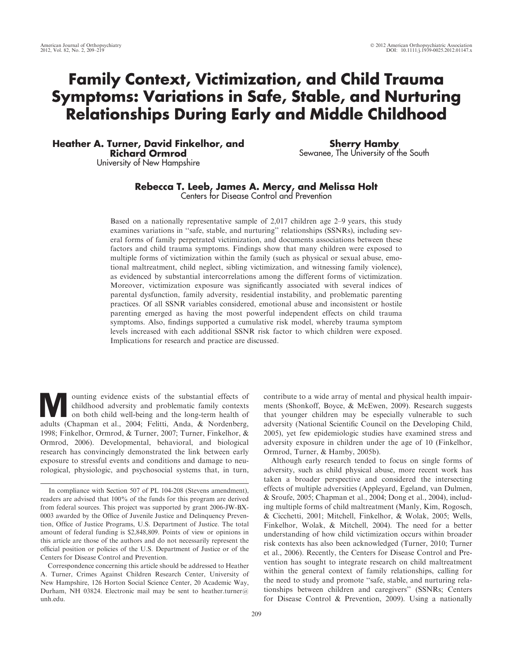# Family Context, Victimization, and Child Trauma Symptoms: Variations in Safe, Stable, and Nurturing Relationships During Early and Middle Childhood

Heather A. Turner, David Finkelhor, and Richard Ormrod University of New Hampshire

Sherry Hamby Sewanee, The University of the South

#### Rebecca T. Leeb, James A. Mercy, and Melissa Holt Centers for Disease Control and Prevention

Based on a nationally representative sample of 2,017 children age 2–9 years, this study examines variations in ''safe, stable, and nurturing'' relationships (SSNRs), including several forms of family perpetrated victimization, and documents associations between these factors and child trauma symptoms. Findings show that many children were exposed to multiple forms of victimization within the family (such as physical or sexual abuse, emotional maltreatment, child neglect, sibling victimization, and witnessing family violence), as evidenced by substantial intercorrelations among the different forms of victimization. Moreover, victimization exposure was significantly associated with several indices of parental dysfunction, family adversity, residential instability, and problematic parenting practices. Of all SSNR variables considered, emotional abuse and inconsistent or hostile parenting emerged as having the most powerful independent effects on child trauma symptoms. Also, findings supported a cumulative risk model, whereby trauma symptom levels increased with each additional SSNR risk factor to which children were exposed. Implications for research and practice are discussed.

Sunting evidence exists of the substantial effects of<br>childhood adversity and problematic family contexts<br>on both child well-being and the long-term health of<br>colubre (Chapman et al. 2004; Felitti, Anda, & Nordanberg childhood adversity and problematic family contexts on both child well-being and the long-term health of adults (Chapman et al., 2004; Felitti, Anda, & Nordenberg, 1998; Finkelhor, Ormrod, & Turner, 2007; Turner, Finkelhor, & Ormrod, 2006). Developmental, behavioral, and biological research has convincingly demonstrated the link between early exposure to stressful events and conditions and damage to neurological, physiologic, and psychosocial systems that, in turn,

contribute to a wide array of mental and physical health impairments (Shonkoff, Boyce, & McEwen, 2009). Research suggests that younger children may be especially vulnerable to such adversity (National Scientific Council on the Developing Child, 2005), yet few epidemiologic studies have examined stress and adversity exposure in children under the age of 10 (Finkelhor, Ormrod, Turner, & Hamby, 2005b).

Although early research tended to focus on single forms of adversity, such as child physical abuse, more recent work has taken a broader perspective and considered the intersecting effects of multiple adversities (Appleyard, Egeland, van Dulmen, & Sroufe, 2005; Chapman et al., 2004; Dong et al., 2004), including multiple forms of child maltreatment (Manly, Kim, Rogosch, & Cicchetti, 2001; Mitchell, Finkelhor, & Wolak, 2005; Wells, Finkelhor, Wolak, & Mitchell, 2004). The need for a better understanding of how child victimization occurs within broader risk contexts has also been acknowledged (Turner, 2010; Turner et al., 2006). Recently, the Centers for Disease Control and Prevention has sought to integrate research on child maltreatment within the general context of family relationships, calling for the need to study and promote ''safe, stable, and nurturing relationships between children and caregivers'' (SSNRs; Centers for Disease Control & Prevention, 2009). Using a nationally

In compliance with Section 507 of PL 104-208 (Stevens amendment), readers are advised that 100% of the funds for this program are derived from federal sources. This project was supported by grant 2006-JW-BX-0003 awarded by the Office of Juvenile Justice and Delinquency Prevention, Office of Justice Programs, U.S. Department of Justice. The total amount of federal funding is \$2,848,809. Points of view or opinions in this article are those of the authors and do not necessarily represent the official position or policies of the U.S. Department of Justice or of the Centers for Disease Control and Prevention.

Correspondence concerning this article should be addressed to Heather A. Turner, Crimes Against Children Research Center, University of New Hampshire, 126 Horton Social Science Center, 20 Academic Way, Durham, NH 03824. Electronic mail may be sent to heather.turner@ unh.edu.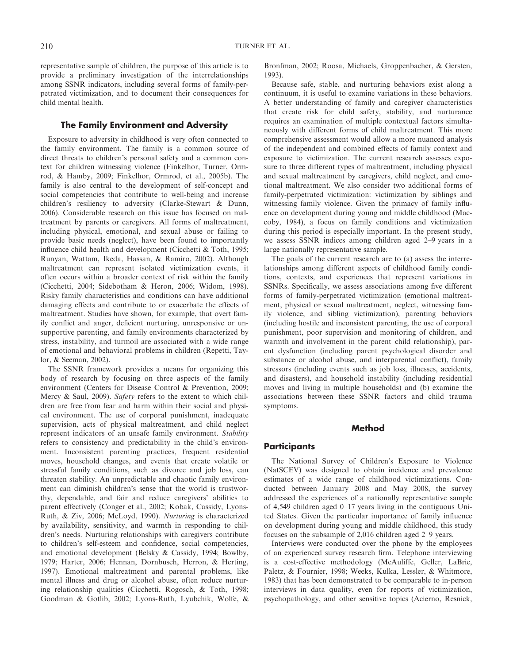representative sample of children, the purpose of this article is to provide a preliminary investigation of the interrelationships among SSNR indicators, including several forms of family-perpetrated victimization, and to document their consequences for child mental health.

### The Family Environment and Adversity

Exposure to adversity in childhood is very often connected to the family environment. The family is a common source of direct threats to children's personal safety and a common context for children witnessing violence (Finkelhor, Turner, Ormrod, & Hamby, 2009; Finkelhor, Ormrod, et al., 2005b). The family is also central to the development of self-concept and social competencies that contribute to well-being and increase children's resiliency to adversity (Clarke-Stewart & Dunn, 2006). Considerable research on this issue has focused on maltreatment by parents or caregivers. All forms of maltreatment, including physical, emotional, and sexual abuse or failing to provide basic needs (neglect), have been found to importantly influence child health and development (Cicchetti & Toth, 1995; Runyan, Wattam, Ikeda, Hassan, & Ramiro, 2002). Although maltreatment can represent isolated victimization events, it often occurs within a broader context of risk within the family (Cicchetti, 2004; Sidebotham & Heron, 2006; Widom, 1998). Risky family characteristics and conditions can have additional damaging effects and contribute to or exacerbate the effects of maltreatment. Studies have shown, for example, that overt family conflict and anger, deficient nurturing, unresponsive or unsupportive parenting, and family environments characterized by stress, instability, and turmoil are associated with a wide range of emotional and behavioral problems in children (Repetti, Taylor, & Seeman, 2002).

The SSNR framework provides a means for organizing this body of research by focusing on three aspects of the family environment (Centers for Disease Control & Prevention, 2009; Mercy & Saul, 2009). Safety refers to the extent to which children are free from fear and harm within their social and physical environment. The use of corporal punishment, inadequate supervision, acts of physical maltreatment, and child neglect represent indicators of an unsafe family environment. Stability refers to consistency and predictability in the child's environment. Inconsistent parenting practices, frequent residential moves, household changes, and events that create volatile or stressful family conditions, such as divorce and job loss, can threaten stability. An unpredictable and chaotic family environment can diminish children's sense that the world is trustworthy, dependable, and fair and reduce caregivers' abilities to parent effectively (Conger et al., 2002; Kobak, Cassidy, Lyons-Ruth, & Ziv, 2006; McLoyd, 1990). Nurturing is characterized by availability, sensitivity, and warmth in responding to children's needs. Nurturing relationships with caregivers contribute to children's self-esteem and confidence, social competencies, and emotional development (Belsky & Cassidy, 1994; Bowlby, 1979; Harter, 2006; Hennan, Dornbusch, Herron, & Herting, 1997). Emotional maltreatment and parental problems, like mental illness and drug or alcohol abuse, often reduce nurturing relationship qualities (Cicchetti, Rogosch, & Toth, 1998; Goodman & Gotlib, 2002; Lyons-Ruth, Lyubchik, Wolfe, &

Bronfman, 2002; Roosa, Michaels, Groppenbacher, & Gersten, 1993).

Because safe, stable, and nurturing behaviors exist along a continuum, it is useful to examine variations in these behaviors. A better understanding of family and caregiver characteristics that create risk for child safety, stability, and nurturance requires an examination of multiple contextual factors simultaneously with different forms of child maltreatment. This more comprehensive assessment would allow a more nuanced analysis of the independent and combined effects of family context and exposure to victimization. The current research assesses exposure to three different types of maltreatment, including physical and sexual maltreatment by caregivers, child neglect, and emotional maltreatment. We also consider two additional forms of family-perpetrated victimization: victimization by siblings and witnessing family violence. Given the primacy of family influence on development during young and middle childhood (Maccoby, 1984), a focus on family conditions and victimization during this period is especially important. In the present study, we assess SSNR indices among children aged 2–9 years in a large nationally representative sample.

The goals of the current research are to (a) assess the interrelationships among different aspects of childhood family conditions, contexts, and experiences that represent variations in SSNRs. Specifically, we assess associations among five different forms of family-perpetrated victimization (emotional maltreatment, physical or sexual maltreatment, neglect, witnessing family violence, and sibling victimization), parenting behaviors (including hostile and inconsistent parenting, the use of corporal punishment, poor supervision and monitoring of children, and warmth and involvement in the parent–child relationship), parent dysfunction (including parent psychological disorder and substance or alcohol abuse, and interparental conflict), family stressors (including events such as job loss, illnesses, accidents, and disasters), and household instability (including residential moves and living in multiple households) and (b) examine the associations between these SSNR factors and child trauma symptoms.

# **Method**

#### **Participants**

The National Survey of Children's Exposure to Violence (NatSCEV) was designed to obtain incidence and prevalence estimates of a wide range of childhood victimizations. Conducted between January 2008 and May 2008, the survey addressed the experiences of a nationally representative sample of 4,549 children aged 0–17 years living in the contiguous United States. Given the particular importance of family influence on development during young and middle childhood, this study focuses on the subsample of 2,016 children aged 2–9 years.

Interviews were conducted over the phone by the employees of an experienced survey research firm. Telephone interviewing is a cost-effective methodology (McAuliffe, Geller, LaBrie, Paletz, & Fournier, 1998; Weeks, Kulka, Lessler, & Whitmore, 1983) that has been demonstrated to be comparable to in-person interviews in data quality, even for reports of victimization, psychopathology, and other sensitive topics (Acierno, Resnick,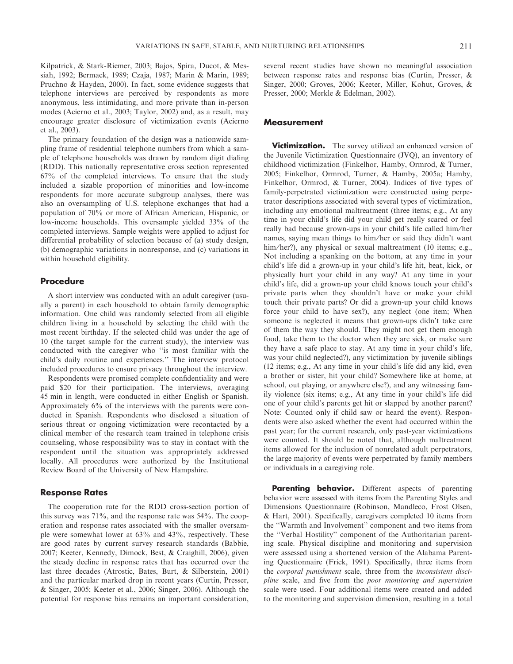Kilpatrick, & Stark-Riemer, 2003; Bajos, Spira, Ducot, & Messiah, 1992; Bermack, 1989; Czaja, 1987; Marin & Marin, 1989; Pruchno & Hayden, 2000). In fact, some evidence suggests that telephone interviews are perceived by respondents as more anonymous, less intimidating, and more private than in-person modes (Acierno et al., 2003; Taylor, 2002) and, as a result, may encourage greater disclosure of victimization events (Acierno et al., 2003).

The primary foundation of the design was a nationwide sampling frame of residential telephone numbers from which a sample of telephone households was drawn by random digit dialing (RDD). This nationally representative cross section represented 67% of the completed interviews. To ensure that the study included a sizable proportion of minorities and low-income respondents for more accurate subgroup analyses, there was also an oversampling of U.S. telephone exchanges that had a population of 70% or more of African American, Hispanic, or low-income households. This oversample yielded 33% of the completed interviews. Sample weights were applied to adjust for differential probability of selection because of (a) study design, (b) demographic variations in nonresponse, and (c) variations in within household eligibility.

## Procedure

A short interview was conducted with an adult caregiver (usually a parent) in each household to obtain family demographic information. One child was randomly selected from all eligible children living in a household by selecting the child with the most recent birthday. If the selected child was under the age of 10 (the target sample for the current study), the interview was conducted with the caregiver who ''is most familiar with the child's daily routine and experiences.'' The interview protocol included procedures to ensure privacy throughout the interview.

Respondents were promised complete confidentiality and were paid \$20 for their participation. The interviews, averaging 45 min in length, were conducted in either English or Spanish. Approximately 6% of the interviews with the parents were conducted in Spanish. Respondents who disclosed a situation of serious threat or ongoing victimization were recontacted by a clinical member of the research team trained in telephone crisis counseling, whose responsibility was to stay in contact with the respondent until the situation was appropriately addressed locally. All procedures were authorized by the Institutional Review Board of the University of New Hampshire.

#### Response Rates

The cooperation rate for the RDD cross-section portion of this survey was 71%, and the response rate was 54%. The cooperation and response rates associated with the smaller oversample were somewhat lower at 63% and 43%, respectively. These are good rates by current survey research standards (Babbie, 2007; Keeter, Kennedy, Dimock, Best, & Craighill, 2006), given the steady decline in response rates that has occurred over the last three decades (Atrostic, Bates, Burt, & Silberstein, 2001) and the particular marked drop in recent years (Curtin, Presser, & Singer, 2005; Keeter et al., 2006; Singer, 2006). Although the potential for response bias remains an important consideration, several recent studies have shown no meaningful association between response rates and response bias (Curtin, Presser, & Singer, 2000; Groves, 2006; Keeter, Miller, Kohut, Groves, & Presser, 2000; Merkle & Edelman, 2002).

## **Measurement**

**Victimization.** The survey utilized an enhanced version of the Juvenile Victimization Questionnaire (JVQ), an inventory of childhood victimization (Finkelhor, Hamby, Ormrod, & Turner, 2005; Finkelhor, Ormrod, Turner, & Hamby, 2005a; Hamby, Finkelhor, Ormrod, & Turner, 2004). Indices of five types of family-perpetrated victimization were constructed using perpetrator descriptions associated with several types of victimization, including any emotional maltreatment (three items; e.g., At any time in your child's life did your child get really scared or feel really bad because grown-ups in your child's life called him ⁄ her names, saying mean things to him/her or said they didn't want him/her?), any physical or sexual maltreatment (10 items; e.g., Not including a spanking on the bottom, at any time in your child's life did a grown-up in your child's life hit, beat, kick, or physically hurt your child in any way? At any time in your child's life, did a grown-up your child knows touch your child's private parts when they shouldn't have or make your child touch their private parts? Or did a grown-up your child knows force your child to have sex?), any neglect (one item; When someone is neglected it means that grown-ups didn't take care of them the way they should. They might not get them enough food, take them to the doctor when they are sick, or make sure they have a safe place to stay. At any time in your child's life, was your child neglected?), any victimization by juvenile siblings (12 items; e.g., At any time in your child's life did any kid, even a brother or sister, hit your child? Somewhere like at home, at school, out playing, or anywhere else?), and any witnessing family violence (six items; e.g., At any time in your child's life did one of your child's parents get hit or slapped by another parent? Note: Counted only if child saw or heard the event). Respondents were also asked whether the event had occurred within the past year; for the current research, only past-year victimizations were counted. It should be noted that, although maltreatment items allowed for the inclusion of nonrelated adult perpetrators, the large majority of events were perpetrated by family members or individuals in a caregiving role.

**Parenting behavior.** Different aspects of parenting behavior were assessed with items from the Parenting Styles and Dimensions Questionnaire (Robinson, Mandleco, Frost Olsen, & Hart, 2001). Specifically, caregivers completed 10 items from the ''Warmth and Involvement'' component and two items from the ''Verbal Hostility'' component of the Authoritarian parenting scale. Physical discipline and monitoring and supervision were assessed using a shortened version of the Alabama Parenting Questionnaire (Frick, 1991). Specifically, three items from the corporal punishment scale, three from the inconsistent discipline scale, and five from the poor monitoring and supervision scale were used. Four additional items were created and added to the monitoring and supervision dimension, resulting in a total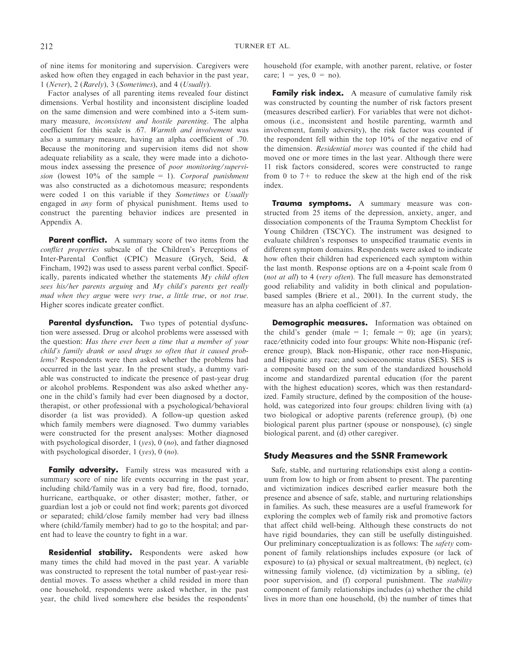of nine items for monitoring and supervision. Caregivers were asked how often they engaged in each behavior in the past year, 1 (Never), 2 (Rarely), 3 (Sometimes), and 4 (Usually).

Factor analyses of all parenting items revealed four distinct dimensions. Verbal hostility and inconsistent discipline loaded on the same dimension and were combined into a 5-item summary measure, inconsistent and hostile parenting. The alpha coefficient for this scale is .67. Warmth and involvement was also a summary measure, having an alpha coefficient of .70. Because the monitoring and supervision items did not show adequate reliability as a scale, they were made into a dichotomous index assessing the presence of *poor monitoring/supervi*sion (lowest  $10\%$  of the sample = 1). Corporal punishment was also constructed as a dichotomous measure; respondents were coded 1 on this variable if they Sometimes or Usually engaged in any form of physical punishment. Items used to construct the parenting behavior indices are presented in Appendix A.

Parent conflict. A summary score of two items from the conflict properties subscale of the Children's Perceptions of Inter-Parental Conflict (CPIC) Measure (Grych, Seid, & Fincham, 1992) was used to assess parent verbal conflict. Specifically, parents indicated whether the statements  $My$  child often sees his⁄ her parents arguing and My child's parents get really mad when they argue were very true, a little true, or not true. Higher scores indicate greater conflict.

Parental dysfunction. Two types of potential dysfunction were assessed. Drug or alcohol problems were assessed with the question: Has there ever been a time that a member of your child's family drank or used drugs so often that it caused problems? Respondents were then asked whether the problems had occurred in the last year. In the present study, a dummy variable was constructed to indicate the presence of past-year drug or alcohol problems. Respondent was also asked whether anyone in the child's family had ever been diagnosed by a doctor, therapist, or other professional with a psychological/behavioral disorder (a list was provided). A follow-up question asked which family members were diagnosed. Two dummy variables were constructed for the present analyses: Mother diagnosed with psychological disorder,  $1 (yes), 0 (no),$  and father diagnosed with psychological disorder, 1 (yes), 0 (no).

Family adversity. Family stress was measured with a summary score of nine life events occurring in the past year, including child/family was in a very bad fire, flood, tornado, hurricane, earthquake, or other disaster; mother, father, or guardian lost a job or could not find work; parents got divorced or separated; child/close family member had very bad illness where (child/family member) had to go to the hospital; and parent had to leave the country to fight in a war.

Residential stability. Respondents were asked how many times the child had moved in the past year. A variable was constructed to represent the total number of past-year residential moves. To assess whether a child resided in more than one household, respondents were asked whether, in the past year, the child lived somewhere else besides the respondents' household (for example, with another parent, relative, or foster care;  $1 = \text{ves}, 0 = \text{no}$ ).

**Family risk index.** A measure of cumulative family risk was constructed by counting the number of risk factors present (measures described earlier). For variables that were not dichotomous (i.e., inconsistent and hostile parenting, warmth and involvement, family adversity), the risk factor was counted if the respondent fell within the top 10% of the negative end of the dimension. Residential moves was counted if the child had moved one or more times in the last year. Although there were 11 risk factors considered, scores were constructed to range from  $0$  to  $7+$  to reduce the skew at the high end of the risk index.

Trauma symptoms. A summary measure was constructed from 25 items of the depression, anxiety, anger, and dissociation components of the Trauma Symptom Checklist for Young Children (TSCYC). The instrument was designed to evaluate children's responses to unspecified traumatic events in different symptom domains. Respondents were asked to indicate how often their children had experienced each symptom within the last month. Response options are on a 4-point scale from 0 (not at all) to 4 (very often). The full measure has demonstrated good reliability and validity in both clinical and populationbased samples (Briere et al., 2001). In the current study, the measure has an alpha coefficient of .87.

Demographic measures. Information was obtained on the child's gender (male  $= 1$ ; female  $= 0$ ); age (in years); race ⁄ ethnicity coded into four groups: White non-Hispanic (reference group), Black non-Hispanic, other race non-Hispanic, and Hispanic any race; and socioeconomic status (SES). SES is a composite based on the sum of the standardized household income and standardized parental education (for the parent with the highest education) scores, which was then restandardized. Family structure, defined by the composition of the household, was categorized into four groups: children living with (a) two biological or adoptive parents (reference group), (b) one biological parent plus partner (spouse or nonspouse), (c) single biological parent, and (d) other caregiver.

### Study Measures and the SSNR Framework

Safe, stable, and nurturing relationships exist along a continuum from low to high or from absent to present. The parenting and victimization indices described earlier measure both the presence and absence of safe, stable, and nurturing relationships in families. As such, these measures are a useful framework for exploring the complex web of family risk and promotive factors that affect child well-being. Although these constructs do not have rigid boundaries, they can still be usefully distinguished. Our preliminary conceptualization is as follows: The safety component of family relationships includes exposure (or lack of exposure) to (a) physical or sexual maltreatment, (b) neglect, (c) witnessing family violence, (d) victimization by a sibling, (e) poor supervision, and (f) corporal punishment. The stability component of family relationships includes (a) whether the child lives in more than one household, (b) the number of times that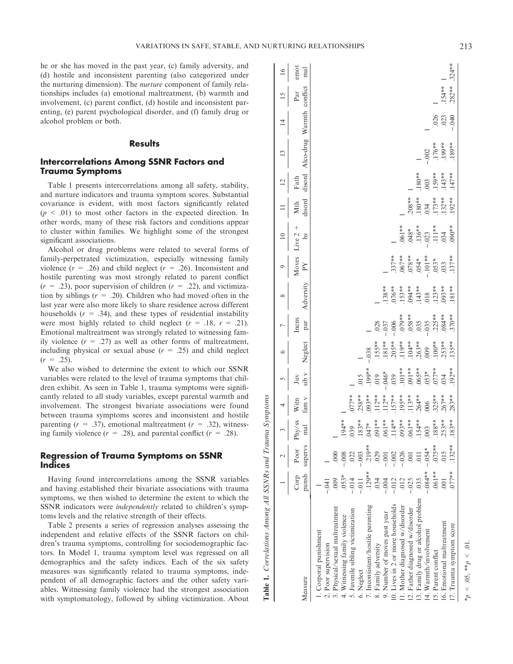he or she has moved in the past year, (c) family adversity, and (d) hostile and inconsistent parenting (also categorized under the nurturing dimension). The nurture component of family relationships includes (a) emotional maltreatment, (b) warmth and involvement, (c) parent conflict, (d) hostile and inconsistent parenting, (e) parent psychological disorder, and (f) family drug or alcohol problem or both.

#### **Results**

## Intercorrelations Among SSNR Factors and Trauma Symptoms

Table 1 presents intercorrelations among all safety, stability, and nurture indicators and trauma symptom scores. Substantial covariance is evident, with most factors significantly related  $(p \leq .01)$  to most other factors in the expected direction. In other words, many of these risk factors and conditions appear to cluster within families. We highlight some of the strongest significant associations.

Alcohol or drug problems were related to several forms of family-perpetrated victimization, especially witnessing family violence  $(r = .26)$  and child neglect  $(r = .26)$ . Inconsistent and hostile parenting was most strongly related to parent conflict  $(r = .23)$ , poor supervision of children  $(r = .22)$ , and victimization by siblings  $(r = .20)$ . Children who had moved often in the last year were also more likely to share residence across different households  $(r = .34)$ , and these types of residential instability were most highly related to child neglect  $(r = .18, r = .21)$ . Emotional maltreatment was strongly related to witnessing family violence  $(r = .27)$  as well as other forms of maltreatment, including physical or sexual abuse  $(r = .25)$  and child neglect  $(r = .25)$ .

We also wished to determine the extent to which our SSNR variables were related to the level of trauma symptoms that children exhibit. As seen in Table 1, trauma symptoms were significantly related to all study variables, except parental warmth and involvement. The strongest bivariate associations were found between trauma symptoms scores and inconsistent and hostile parenting  $(r = .37)$ , emotional maltreatment  $(r = .32)$ , witnessing family violence  $(r = .28)$ , and parental conflict  $(r = .28)$ .

## Regression of Trauma Symptoms on SSNR Indices

Having found intercorrelations among the SSNR variables and having established their bivariate associations with trauma symptoms, we then wished to determine the extent to which the SSNR indicators were *independently* related to children's symptoms levels and the relative strength of their effects.

Table 2 presents a series of regression analyses assessing the independent and relative effects of the SSNR factors on children's trauma symptoms, controlling for sociodemographic factors. In Model 1, trauma symptom level was regressed on all demographics and the safety indices. Each of the six safety measures was significantly related to trauma symptoms, independent of all demographic factors and the other safety variables. Witnessing family violence had the strongest association with symptomatology, followed by sibling victimization. About

|                                                                  |                 | $\mathcal{L}$                            |                                                                  | 4              |                                                                      | $\circ$                                                                                                                                 |                                       | $\infty$                                                                                                                                                     | $\circ$                                                 | $\approx$                                                            |                                      | $\overline{c}$    | $\frac{13}{2}$ | $\overline{4}$ | 15              | $\overline{16}$ |
|------------------------------------------------------------------|-----------------|------------------------------------------|------------------------------------------------------------------|----------------|----------------------------------------------------------------------|-----------------------------------------------------------------------------------------------------------------------------------------|---------------------------------------|--------------------------------------------------------------------------------------------------------------------------------------------------------------|---------------------------------------------------------|----------------------------------------------------------------------|--------------------------------------|-------------------|----------------|----------------|-----------------|-----------------|
| Measure                                                          | punsh<br>Corp   | supervs<br>Poor                          | Phy/sx<br>mal                                                    | fam v<br>Witn  | $v$ dis<br>$_{\rm Juv}$                                              | Neglect                                                                                                                                 | Incns<br>par                          | Adversity                                                                                                                                                    | Moves<br>$\ensuremath{\mathsf{P}}\xspace$               | Live 2 $+$<br>$\ln s$                                                | disord<br>Mth                        | disord<br>Fath    | Alco-drug      | Warmth         | conflict<br>Par | emot<br>mal     |
| 1. Corporal punishment<br>2. Poor supervision                    | $-.041$         |                                          |                                                                  |                |                                                                      |                                                                                                                                         |                                       |                                                                                                                                                              |                                                         |                                                                      |                                      |                   |                |                |                 |                 |
| 3. Physical/sexual maltreatment<br>4. Witnessing family violence | $.053*$<br>000. | .008                                     | $.194***$                                                        |                |                                                                      |                                                                                                                                         |                                       |                                                                                                                                                              |                                                         |                                                                      |                                      |                   |                |                |                 |                 |
| 5. Juvenile sibling victimization                                | $-.014$         | .022                                     | .039                                                             | $.077**$       |                                                                      |                                                                                                                                         |                                       |                                                                                                                                                              |                                                         |                                                                      |                                      |                   |                |                |                 |                 |
| 6. Neglect                                                       | $-.011$         | .003                                     | $.183**$                                                         |                | 015                                                                  |                                                                                                                                         |                                       |                                                                                                                                                              |                                                         |                                                                      |                                      |                   |                |                |                 |                 |
| 7. Inconsistent/hostile parenting                                | $.129**$        | .219**                                   |                                                                  | 258**<br>093** | $.199***$                                                            | .038                                                                                                                                    |                                       |                                                                                                                                                              |                                                         |                                                                      |                                      |                   |                |                |                 |                 |
| 8. Family adversity                                              | .034            | 029                                      | $647*$<br>$1961**$<br>$1061**$<br>$114**$<br>$1061**$<br>$154**$ |                | 019                                                                  | $.155***$                                                                                                                               | .028                                  |                                                                                                                                                              |                                                         |                                                                      |                                      |                   |                |                |                 |                 |
| 9. Number of moves past year                                     | $-0.004$        |                                          |                                                                  |                |                                                                      |                                                                                                                                         | .037                                  |                                                                                                                                                              |                                                         |                                                                      |                                      |                   |                |                |                 |                 |
| 0. Lives in 2 or more households                                 | $-012$<br>012   |                                          |                                                                  |                |                                                                      |                                                                                                                                         |                                       |                                                                                                                                                              |                                                         |                                                                      |                                      |                   |                |                |                 |                 |
| 1. Mother diagnosed w/disorder                                   |                 | $-0.01$<br>$-0.02$<br>$-0.05$<br>$-0.01$ |                                                                  |                | $-0.046*$<br>$0.039$<br>$0.01**$<br>$0.05**$<br>$0.05**$<br>$0.053*$ | $\begin{array}{r} \n 181** \\  \hline\n 195** \\  \hline\n 119** \\  \hline\n 104** \\  \hline\n 263* \\  \hline\n 0.009\n \end{array}$ | $-006$<br>$079**$<br>$058**$<br>$035$ | $\begin{array}{c}\n 138** \\  076** \\  \hline\n 153** \\  153** \\  143** \\  \hline\n 143** \\  \hline\n 123** \\  \hline\n 123** \\  \hline\n\end{array}$ | $.337**$<br>$.067**$<br>$.078**$<br>$.034**$<br>$.033*$ |                                                                      |                                      |                   |                |                |                 |                 |
| 12. Father diagnosed w/disorder                                  | $-.025$         |                                          |                                                                  |                |                                                                      |                                                                                                                                         |                                       |                                                                                                                                                              |                                                         | $.061**$<br>$.048**$<br>$.136**$<br>$.136**$<br>$.111**$<br>$.111**$ |                                      |                   |                |                |                 |                 |
| 13. Family drug or alcohol problem                               | 0.35            |                                          |                                                                  |                |                                                                      |                                                                                                                                         |                                       |                                                                                                                                                              |                                                         |                                                                      |                                      | $180**$           |                |                |                 |                 |
| 4. Warmth/involvement                                            | $-0.84**$       | $-0.054*$                                | .003                                                             |                |                                                                      |                                                                                                                                         | 0.035                                 |                                                                                                                                                              |                                                         |                                                                      | **<br>180**<br>034<br>173**<br>192** |                   | $-.002$        |                |                 |                 |
| 5. Parent conflict                                               | $0.061**$       | $.075**$                                 | $.188***$                                                        |                |                                                                      | $.100**$                                                                                                                                | $.225***$<br>$.084***$                |                                                                                                                                                              |                                                         |                                                                      |                                      | $003$<br>$159***$ | $.176***$      | .026           |                 |                 |
| 6. Emotional maltreatment                                        | $\overline{0}$  | 015                                      | $.253**$                                                         |                | 034                                                                  | $.253***$<br>$.135***$                                                                                                                  |                                       |                                                                                                                                                              |                                                         |                                                                      |                                      | $.143**$          | .199**         | .023           | $.154***$       |                 |
| 7. Trauma symptom score                                          | 077**           | $132**$                                  | $.183**$                                                         | $283**$        | $.192**$                                                             |                                                                                                                                         | $370***$                              | 181**                                                                                                                                                        | $.137**$                                                | $090**$                                                              |                                      | $147***$          | .189**         | $-0.040$       | $.282***$       | $.324**$        |
| $*_{p} < .05, **_{p} < .01.$                                     |                 |                                          |                                                                  |                |                                                                      |                                                                                                                                         |                                       |                                                                                                                                                              |                                                         |                                                                      |                                      |                   |                |                |                 |                 |

Table 1. Correlations Among All SSNRs and Trauma Symptoms Table 1. Correlations Among All SSNRs and Trauma Symptoms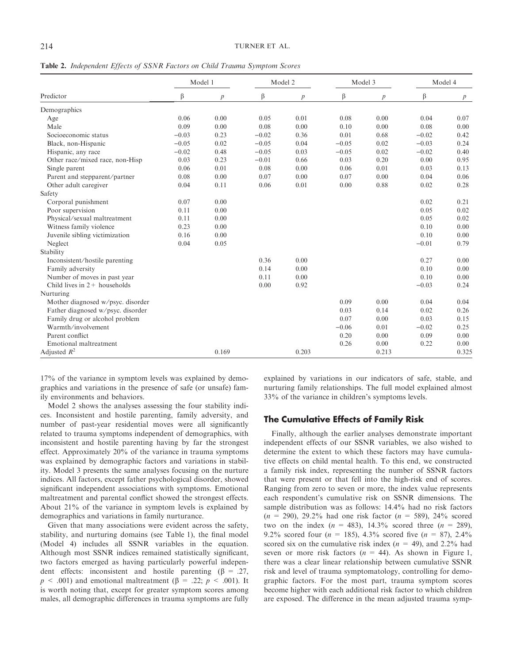Table 2. Independent Effects of SSNR Factors on Child Trauma Symptom Scores

|                                   | Model 1 |                |         | Model 2          | Model 3 |                | Model 4 |                |
|-----------------------------------|---------|----------------|---------|------------------|---------|----------------|---------|----------------|
| Predictor                         | β       | $\overline{p}$ | β       | $\boldsymbol{p}$ | β       | $\overline{p}$ | β       | $\overline{p}$ |
| Demographics                      |         |                |         |                  |         |                |         |                |
| Age                               | 0.06    | 0.00           | 0.05    | 0.01             | 0.08    | 0.00           | 0.04    | 0.07           |
| Male                              | 0.09    | 0.00           | 0.08    | 0.00             | 0.10    | 0.00           | 0.08    | 0.00           |
| Socioeconomic status              | $-0.03$ | 0.23           | $-0.02$ | 0.36             | 0.01    | 0.68           | $-0.02$ | 0.42           |
| Black, non-Hispanic               | $-0.05$ | 0.02           | $-0.05$ | 0.04             | $-0.05$ | 0.02           | $-0.03$ | 0.24           |
| Hispanic, any race                | $-0.02$ | 0.48           | $-0.05$ | 0.03             | $-0.05$ | 0.02           | $-0.02$ | 0.40           |
| Other race/mixed race, non-Hisp   | 0.03    | 0.23           | $-0.01$ | 0.66             | 0.03    | 0.20           | 0.00    | 0.95           |
| Single parent                     | 0.06    | 0.01           | 0.08    | 0.00             | 0.06    | 0.01           | 0.03    | 0.13           |
| Parent and stepparent/partner     | 0.08    | 0.00           | 0.07    | 0.00             | 0.07    | 0.00           | 0.04    | 0.06           |
| Other adult caregiver             | 0.04    | 0.11           | 0.06    | 0.01             | 0.00    | 0.88           | 0.02    | 0.28           |
| Safety                            |         |                |         |                  |         |                |         |                |
| Corporal punishment               | 0.07    | 0.00           |         |                  |         |                | 0.02    | 0.21           |
| Poor supervision                  | 0.11    | 0.00           |         |                  |         |                | 0.05    | 0.02           |
| Physical/sexual maltreatment      | 0.11    | 0.00           |         |                  |         |                | 0.05    | 0.02           |
| Witness family violence           | 0.23    | 0.00           |         |                  |         |                | 0.10    | 0.00           |
| Juvenile sibling victimization    | 0.16    | 0.00           |         |                  |         |                | 0.10    | 0.00           |
| Neglect                           | 0.04    | 0.05           |         |                  |         |                | $-0.01$ | 0.79           |
| Stability                         |         |                |         |                  |         |                |         |                |
| Inconsistent/hostile parenting    |         |                | 0.36    | 0.00             |         |                | 0.27    | 0.00           |
| Family adversity                  |         |                | 0.14    | 0.00             |         |                | 0.10    | 0.00           |
| Number of moves in past year      |         |                | 0.11    | 0.00             |         |                | 0.10    | 0.00           |
| Child lives in $2+$ households    |         |                | 0.00    | 0.92             |         |                | $-0.03$ | 0.24           |
| Nurturing                         |         |                |         |                  |         |                |         |                |
| Mother diagnosed w/psyc. disorder |         |                |         |                  | 0.09    | 0.00           | 0.04    | 0.04           |
| Father diagnosed w/psyc. disorder |         |                |         |                  | 0.03    | 0.14           | 0.02    | 0.26           |
| Family drug or alcohol problem    |         |                |         |                  | 0.07    | 0.00           | 0.03    | 0.15           |
| Warmth/involvement                |         |                |         |                  | $-0.06$ | 0.01           | $-0.02$ | 0.25           |
| Parent conflict                   |         |                |         |                  | 0.20    | 0.00           | 0.09    | 0.00           |
| Emotional maltreatment            |         |                |         |                  | 0.26    | 0.00           | 0.22    | 0.00           |
| Adjusted $R^2$                    |         | 0.169          |         | 0.203            |         | 0.213          |         | 0.325          |

17% of the variance in symptom levels was explained by demographics and variations in the presence of safe (or unsafe) family environments and behaviors.

Model 2 shows the analyses assessing the four stability indices. Inconsistent and hostile parenting, family adversity, and number of past-year residential moves were all significantly related to trauma symptoms independent of demographics, with inconsistent and hostile parenting having by far the strongest effect. Approximately 20% of the variance in trauma symptoms was explained by demographic factors and variations in stability. Model 3 presents the same analyses focusing on the nurture indices. All factors, except father psychological disorder, showed significant independent associations with symptoms. Emotional maltreatment and parental conflict showed the strongest effects. About 21% of the variance in symptom levels is explained by demographics and variations in family nurturance.

Given that many associations were evident across the safety, stability, and nurturing domains (see Table 1), the final model (Model 4) includes all SSNR variables in the equation. Although most SSNR indices remained statistically significant, two factors emerged as having particularly powerful independent effects: inconsistent and hostile parenting ( $\beta = .27$ ,  $p \leq .001$ ) and emotional maltreatment ( $\beta = .22$ ;  $p \leq .001$ ). It is worth noting that, except for greater symptom scores among males, all demographic differences in trauma symptoms are fully explained by variations in our indicators of safe, stable, and nurturing family relationships. The full model explained almost 33% of the variance in children's symptoms levels.

# The Cumulative Effects of Family Risk

Finally, although the earlier analyses demonstrate important independent effects of our SSNR variables, we also wished to determine the extent to which these factors may have cumulative effects on child mental health. To this end, we constructed a family risk index, representing the number of SSNR factors that were present or that fell into the high-risk end of scores. Ranging from zero to seven or more, the index value represents each respondent's cumulative risk on SSNR dimensions. The sample distribution was as follows: 14.4% had no risk factors  $(n = 290)$ , 29.2% had one risk factor  $(n = 589)$ , 24% scored two on the index  $(n = 483)$ , 14.3% scored three  $(n = 289)$ , 9.2% scored four ( $n = 185$ ), 4.3% scored five ( $n = 87$ ), 2.4% scored six on the cumulative risk index ( $n = 49$ ), and 2.2% had seven or more risk factors ( $n = 44$ ). As shown in Figure 1, there was a clear linear relationship between cumulative SSNR risk and level of trauma symptomatology, controlling for demographic factors. For the most part, trauma symptom scores become higher with each additional risk factor to which children are exposed. The difference in the mean adjusted trauma symp-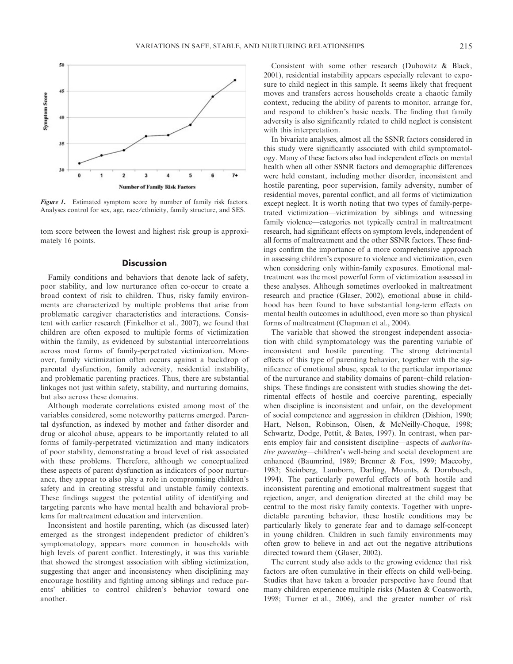

Figure 1. Estimated symptom score by number of family risk factors. Analyses control for sex, age, race ⁄ ethnicity, family structure, and SES.

tom score between the lowest and highest risk group is approximately 16 points.

## **Discussion**

Family conditions and behaviors that denote lack of safety, poor stability, and low nurturance often co-occur to create a broad context of risk to children. Thus, risky family environments are characterized by multiple problems that arise from problematic caregiver characteristics and interactions. Consistent with earlier research (Finkelhor et al., 2007), we found that children are often exposed to multiple forms of victimization within the family, as evidenced by substantial intercorrelations across most forms of family-perpetrated victimization. Moreover, family victimization often occurs against a backdrop of parental dysfunction, family adversity, residential instability, and problematic parenting practices. Thus, there are substantial linkages not just within safety, stability, and nurturing domains, but also across these domains.

Although moderate correlations existed among most of the variables considered, some noteworthy patterns emerged. Parental dysfunction, as indexed by mother and father disorder and drug or alcohol abuse, appears to be importantly related to all forms of family-perpetrated victimization and many indicators of poor stability, demonstrating a broad level of risk associated with these problems. Therefore, although we conceptualized these aspects of parent dysfunction as indicators of poor nurturance, they appear to also play a role in compromising children's safety and in creating stressful and unstable family contexts. These findings suggest the potential utility of identifying and targeting parents who have mental health and behavioral problems for maltreatment education and intervention.

Inconsistent and hostile parenting, which (as discussed later) emerged as the strongest independent predictor of children's symptomatology, appears more common in households with high levels of parent conflict. Interestingly, it was this variable that showed the strongest association with sibling victimization, suggesting that anger and inconsistency when disciplining may encourage hostility and fighting among siblings and reduce parents' abilities to control children's behavior toward one another.

Consistent with some other research (Dubowitz & Black, 2001), residential instability appears especially relevant to exposure to child neglect in this sample. It seems likely that frequent moves and transfers across households create a chaotic family context, reducing the ability of parents to monitor, arrange for, and respond to children's basic needs. The finding that family adversity is also significantly related to child neglect is consistent with this interpretation.

In bivariate analyses, almost all the SSNR factors considered in this study were significantly associated with child symptomatology. Many of these factors also had independent effects on mental health when all other SSNR factors and demographic differences were held constant, including mother disorder, inconsistent and hostile parenting, poor supervision, family adversity, number of residential moves, parental conflict, and all forms of victimization except neglect. It is worth noting that two types of family-perpetrated victimization—victimization by siblings and witnessing family violence—categories not typically central in maltreatment research, had significant effects on symptom levels, independent of all forms of maltreatment and the other SSNR factors. These findings confirm the importance of a more comprehensive approach in assessing children's exposure to violence and victimization, even when considering only within-family exposures. Emotional maltreatment was the most powerful form of victimization assessed in these analyses. Although sometimes overlooked in maltreatment research and practice (Glaser, 2002), emotional abuse in childhood has been found to have substantial long-term effects on mental health outcomes in adulthood, even more so than physical forms of maltreatment (Chapman et al., 2004).

The variable that showed the strongest independent association with child symptomatology was the parenting variable of inconsistent and hostile parenting. The strong detrimental effects of this type of parenting behavior, together with the significance of emotional abuse, speak to the particular importance of the nurturance and stability domains of parent–child relationships. These findings are consistent with studies showing the detrimental effects of hostile and coercive parenting, especially when discipline is inconsistent and unfair, on the development of social competence and aggression in children (Dishion, 1990; Hart, Nelson, Robinson, Olsen, & McNeilly-Choque, 1998; Schwartz, Dodge, Pettit, & Bates, 1997). In contrast, when parents employ fair and consistent discipline—aspects of authoritative parenting—children's well-being and social development are enhanced (Baumrind, 1989; Brenner & Fox, 1999; Maccoby, 1983; Steinberg, Lamborn, Darling, Mounts, & Dornbusch, 1994). The particularly powerful effects of both hostile and inconsistent parenting and emotional maltreatment suggest that rejection, anger, and denigration directed at the child may be central to the most risky family contexts. Together with unpredictable parenting behavior, these hostile conditions may be particularly likely to generate fear and to damage self-concept in young children. Children in such family environments may often grow to believe in and act out the negative attributions directed toward them (Glaser, 2002).

The current study also adds to the growing evidence that risk factors are often cumulative in their effects on child well-being. Studies that have taken a broader perspective have found that many children experience multiple risks (Masten & Coatsworth, 1998; Turner et al., 2006), and the greater number of risk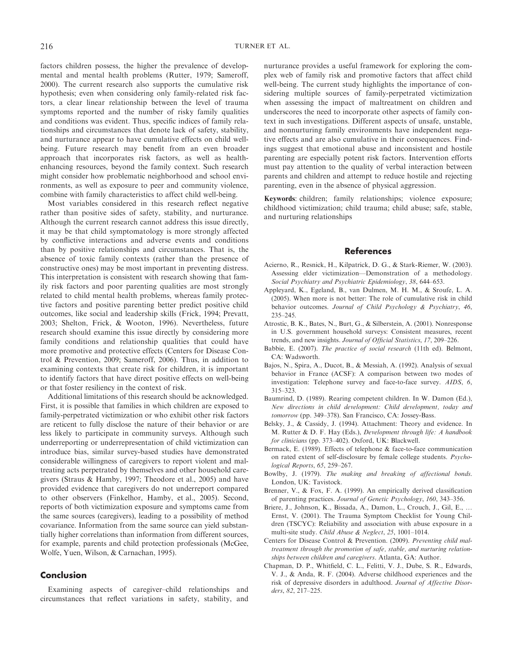factors children possess, the higher the prevalence of developmental and mental health problems (Rutter, 1979; Sameroff, 2000). The current research also supports the cumulative risk hypothesis; even when considering only family-related risk factors, a clear linear relationship between the level of trauma symptoms reported and the number of risky family qualities and conditions was evident. Thus, specific indices of family relationships and circumstances that denote lack of safety, stability, and nurturance appear to have cumulative effects on child wellbeing. Future research may benefit from an even broader approach that incorporates risk factors, as well as healthenhancing resources, beyond the family context. Such research might consider how problematic neighborhood and school environments, as well as exposure to peer and community violence, combine with family characteristics to affect child well-being.

Most variables considered in this research reflect negative rather than positive sides of safety, stability, and nurturance. Although the current research cannot address this issue directly, it may be that child symptomatology is more strongly affected by conflictive interactions and adverse events and conditions than by positive relationships and circumstances. That is, the absence of toxic family contexts (rather than the presence of constructive ones) may be most important in preventing distress. This interpretation is consistent with research showing that family risk factors and poor parenting qualities are most strongly related to child mental health problems, whereas family protective factors and positive parenting better predict positive child outcomes, like social and leadership skills (Frick, 1994; Prevatt, 2003; Shelton, Frick, & Wooton, 1996). Nevertheless, future research should examine this issue directly by considering more family conditions and relationship qualities that could have more promotive and protective effects (Centers for Disease Control & Prevention, 2009; Sameroff, 2006). Thus, in addition to examining contexts that create risk for children, it is important to identify factors that have direct positive effects on well-being or that foster resiliency in the context of risk.

Additional limitations of this research should be acknowledged. First, it is possible that families in which children are exposed to family-perpetrated victimization or who exhibit other risk factors are reticent to fully disclose the nature of their behavior or are less likely to participate in community surveys. Although such underreporting or underrepresentation of child victimization can introduce bias, similar survey-based studies have demonstrated considerable willingness of caregivers to report violent and maltreating acts perpetrated by themselves and other household caregivers (Straus & Hamby, 1997; Theodore et al., 2005) and have provided evidence that caregivers do not underreport compared to other observers (Finkelhor, Hamby, et al., 2005). Second, reports of both victimization exposure and symptoms came from the same sources (caregivers), leading to a possibility of method covariance. Information from the same source can yield substantially higher correlations than information from different sources, for example, parents and child protection professionals (McGee, Wolfe, Yuen, Wilson, & Carnachan, 1995).

#### Conclusion

Examining aspects of caregiver–child relationships and circumstances that reflect variations in safety, stability, and nurturance provides a useful framework for exploring the complex web of family risk and promotive factors that affect child well-being. The current study highlights the importance of considering multiple sources of family-perpetrated victimization when assessing the impact of maltreatment on children and underscores the need to incorporate other aspects of family context in such investigations. Different aspects of unsafe, unstable, and nonnurturing family environments have independent negative effects and are also cumulative in their consequences. Findings suggest that emotional abuse and inconsistent and hostile parenting are especially potent risk factors. Intervention efforts must pay attention to the quality of verbal interaction between parents and children and attempt to reduce hostile and rejecting parenting, even in the absence of physical aggression.

Keywords: children; family relationships; violence exposure; childhood victimization; child trauma; child abuse; safe, stable, and nurturing relationships

#### References

- Acierno, R., Resnick, H., Kilpatrick, D. G., & Stark-Riemer, W. (2003). Assessing elder victimization—Demonstration of a methodology. Social Psychiatry and Psychiatric Epidemiology, 38, 644–653.
- Appleyard, K., Egeland, B., van Dulmen, M. H. M., & Sroufe, L. A. (2005). When more is not better: The role of cumulative risk in child behavior outcomes. Journal of Child Psychology & Psychiatry, 46, 235–245.
- Atrostic, B. K., Bates, N., Burt, G., & Silberstein, A. (2001). Nonresponse in U.S. government household surveys: Consistent measures, recent trends, and new insights. Journal of Official Statistics, 17, 209–226.
- Babbie, E. (2007). The practice of social research (11th ed). Belmont, CA: Wadsworth.
- Bajos, N., Spira, A., Ducot, B., & Messiah, A. (1992). Analysis of sexual behavior in France (ACSF): A comparison between two modes of investigation: Telephone survey and face-to-face survey. AIDS, 6, 315–323.
- Baumrind, D. (1989). Rearing competent children. In W. Damon (Ed.), New directions in child development: Child development, today and tomorrow (pp. 349–378). San Francisco, CA: Jossey-Bass.
- Belsky, J., & Cassidy, J. (1994). Attachment: Theory and evidence. In M. Rutter & D. F. Hay (Eds.), Development through life: A handbook for clinicians (pp. 373–402). Oxford, UK: Blackwell.
- Bermack, E. (1989). Effects of telephone & face-to-face communication on rated extent of self-disclosure by female college students. Psychological Reports, 65, 259–267.
- Bowlby, J. (1979). The making and breaking of affectional bonds. London, UK: Tavistock.
- Brenner, V., & Fox, F. A. (1999). An empirically derived classification of parenting practices. Journal of Genetic Psychology, 160, 343–356.
- Briere, J., Johnson, K., Bissada, A., Damon, L., Crouch, J., Gil, E., … Ernst, V. (2001). The Trauma Symptom Checklist for Young Children (TSCYC): Reliability and association with abuse exposure in a multi-site study. Child Abuse & Neglect, 25, 1001–1014.
- Centers for Disease Control & Prevention. (2009). Preventing child maltreatment through the promotion of safe, stable, and nurturing relationships between children and caregivers. Atlanta, GA: Author.
- Chapman, D. P., Whitfield, C. L., Felitti, V. J., Dube, S. R., Edwards, V. J., & Anda, R. F. (2004). Adverse childhood experiences and the risk of depressive disorders in adulthood. Journal of Affective Disorders, 82, 217–225.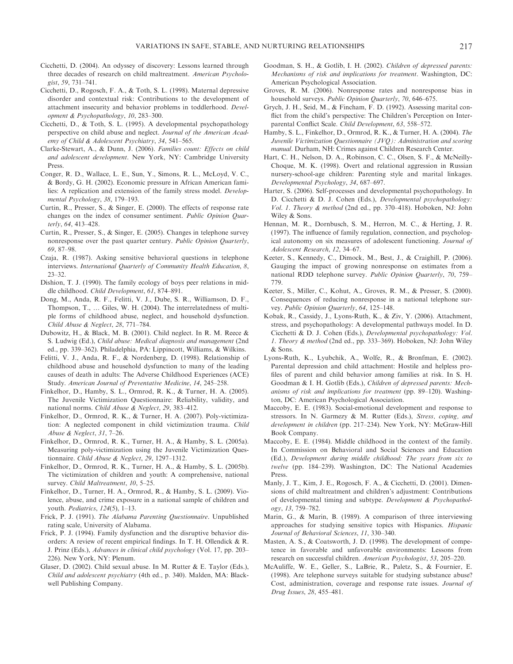- Cicchetti, D. (2004). An odyssey of discovery: Lessons learned through three decades of research on child maltreatment. American Psychologist, 59, 731–741.
- Cicchetti, D., Rogosch, F. A., & Toth, S. L. (1998). Maternal depressive disorder and contextual risk: Contributions to the development of attachment insecurity and behavior problems in toddlerhood. Development & Psychopathology, 10, 283–300.
- Cicchetti, D., & Toth, S. L. (1995). A developmental psychopathology perspective on child abuse and neglect. Journal of the American Academy of Child & Adolescent Psychiatry, 34, 541–565.
- Clarke-Stewart, A., & Dunn, J. (2006). Families count: Effects on child and adolescent development. New York, NY: Cambridge University Press.
- Conger, R. D., Wallace, L. E., Sun, Y., Simons, R. L., McLoyd, V. C., & Bordy, G. H. (2002). Economic pressure in African American families: A replication and extension of the family stress model. Developmental Psychology, 38, 179–193.
- Curtin, R., Presser, S., & Singer, E. (2000). The effects of response rate changes on the index of consumer sentiment. Public Opinion Quarterly, 64, 413–428.
- Curtin, R., Presser, S., & Singer, E. (2005). Changes in telephone survey nonresponse over the past quarter century. Public Opinion Quarterly, 69, 87–98.
- Czaja, R. (1987). Asking sensitive behavioral questions in telephone interviews. International Quarterly of Community Health Education, 8, 23–32.
- Dishion, T. J. (1990). The family ecology of boys peer relations in middle childhood. Child Development, 61, 874–891.
- Dong, M., Anda, R. F., Felitti, V. J., Dube, S. R., Williamson, D. F., Thompson, T., … Giles, W. H. (2004). The interrelatedness of multiple forms of childhood abuse, neglect, and household dysfunction. Child Abuse & Neglect, 28, 771–784.
- Dubowitz, H., & Black, M. B. (2001). Child neglect. In R. M. Reece & S. Ludwig (Ed.), Child abuse: Medical diagnosis and management (2nd ed., pp. 339–362). Philadelphia, PA: Lippincott, Williams, & Wilkins.
- Felitti, V. J., Anda, R. F., & Nordenberg, D. (1998). Relationship of childhood abuse and household dysfunction to many of the leading causes of death in adults: The Adverse Childhood Experiences (ACE) Study. American Journal of Preventative Medicine, 14, 245–258.
- Finkelhor, D., Hamby, S. L., Ormrod, R. K., & Turner, H. A. (2005). The Juvenile Victimization Questionnaire: Reliability, validity, and national norms. Child Abuse & Neglect, 29, 383–412.
- Finkelhor, D., Ormrod, R. K., & Turner, H. A. (2007). Poly-victimization: A neglected component in child victimization trauma. Child Abuse & Neglect, 31, 7–26.
- Finkelhor, D., Ormrod, R. K., Turner, H. A., & Hamby, S. L. (2005a). Measuring poly-victimization using the Juvenile Victimization Questionnaire. Child Abuse & Neglect, 29, 1297–1312.
- Finkelhor, D., Ormrod, R. K., Turner, H. A., & Hamby, S. L. (2005b). The victimization of children and youth: A comprehensive, national survey. Child Maltreatment, 10, 5-25.
- Finkelhor, D., Turner, H. A., Ormrod, R., & Hamby, S. L. (2009). Violence, abuse, and crime exposure in a national sample of children and youth. Pediatrics, 124(5), 1–13.
- Frick, P. J. (1991). The Alabama Parenting Questionnaire. Unpublished rating scale, University of Alabama.
- Frick, P. J. (1994). Family dysfunction and the disruptive behavior disorders: A review of recent empirical findings. In T. H. Ollendick & R. J. Prinz (Eds.), Advances in clinical child psychology (Vol. 17, pp. 203– 226). New York, NY: Plenum.
- Glaser, D. (2002). Child sexual abuse. In M. Rutter & E. Taylor (Eds.), Child and adolescent psychiatry (4th ed., p. 340). Malden, MA: Blackwell Publishing Company.
- Goodman, S. H., & Gotlib, I. H. (2002). Children of depressed parents: Mechanisms of risk and implications for treatment. Washington, DC: American Psychological Association.
- Groves, R. M. (2006). Nonresponse rates and nonresponse bias in household surveys. Public Opinion Quarterly, 70, 646–675.
- Grych, J. H., Seid, M., & Fincham, F. D. (1992). Assessing marital conflict from the child's perspective: The Children's Perception on Interparental Conflict Scale. Child Development, 63, 558–572.
- Hamby, S. L., Finkelhor, D., Ormrod, R. K., & Turner, H. A. (2004). The Juvenile Victimization Questionnaire (JVQ): Administration and scoring manual. Durham, NH: Crimes against Children Research Center.
- Hart, C. H., Nelson, D. A., Robinson, C. C., Olsen, S. F., & McNeilly-Choque, M. K. (1998). Overt and relational aggression in Russian nursery-school-age children: Parenting style and marital linkages. Developmental Psychology, 34, 687–697.
- Harter, S. (2006). Self-processes and developmental psychopathology. In D. Cicchetti & D. J. Cohen (Eds.), Developmental psychopathology: Vol. 1. Theory & method (2nd ed., pp. 370–418). Hoboken, NJ: John Wiley & Sons.
- Hennan, M. R., Dornbusch, S. M., Herron, M. C., & Herting, J. R. (1997). The influence of family regulation, connection, and psychological autonomy on six measures of adolescent functioning. Journal of Adolescent Research, 12, 34–67.
- Keeter, S., Kennedy, C., Dimock, M., Best, J., & Craighill, P. (2006). Gauging the impact of growing nonresponse on estimates from a national RDD telephone survey. Public Opinion Quarterly, 70, 759– 779.
- Keeter, S., Miller, C., Kohut, A., Groves, R. M., & Presser, S. (2000). Consequences of reducing nonresponse in a national telephone survey. Public Opinion Quarterly, 64, 125–148.
- Kobak, R., Cassidy, J., Lyons-Ruth, K., & Ziv, Y. (2006). Attachment, stress, and psychopathology: A developmental pathways model. In D. Cicchetti & D. J. Cohen (Eds.), Developmental psychopathology: Vol. 1. Theory & method (2nd ed., pp. 333-369). Hoboken, NJ: John Wiley & Sons.
- Lyons-Ruth, K., Lyubchik, A., Wolfe, R., & Bronfman, E. (2002). Parental depression and child attachment: Hostile and helpless profiles of parent and child behavior among families at risk. In S. H. Goodman & I. H. Gotlib (Eds.), Children of depressed parents: Mechanisms of risk and implications for treatment (pp. 89–120). Washington, DC: American Psychological Association.
- Maccoby, E. E. (1983). Social-emotional development and response to stressors. In N. Garmezy & M. Rutter (Eds.), Stress, coping, and development in children (pp. 217–234). New York, NY: McGraw-Hill Book Company.
- Maccoby, E. E. (1984). Middle childhood in the context of the family. In Commission on Behavioral and Social Sciences and Education (Ed.), Development during middle childhood: The years from six to twelve (pp. 184–239). Washington, DC: The National Academies Press.
- Manly, J. T., Kim, J. E., Rogosch, F. A., & Cicchetti, D. (2001). Dimensions of child maltreatment and children's adjustment: Contributions of developmental timing and subtype. Development & Psychopathology, 13, 759–782.
- Marin, G., & Marin, B. (1989). A comparison of three interviewing approaches for studying sensitive topics with Hispanics. Hispanic Journal of Behavioral Sciences, 11, 330–340.
- Masten, A. S., & Coatsworth, J. D. (1998). The development of competence in favorable and unfavorable environments: Lessons from research on successful children. American Psychologist, 53, 205–220.
- McAuliffe, W. E., Geller, S., LaBrie, R., Paletz, S., & Fournier, E. (1998). Are telephone surveys suitable for studying substance abuse? Cost, administration, coverage and response rate issues. Journal of Drug Issues, 28, 455–481.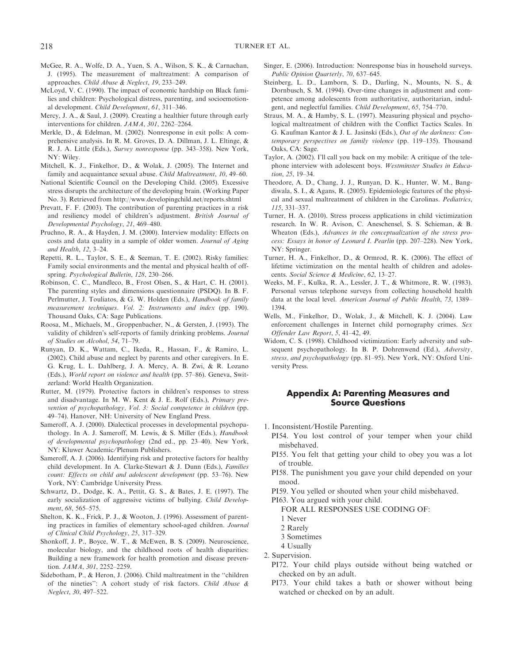- McGee, R. A., Wolfe, D. A., Yuen, S. A., Wilson, S. K., & Carnachan, J. (1995). The measurement of maltreatment: A comparison of approaches. Child Abuse & Neglect, 19, 233–249.
- McLoyd, V. C. (1990). The impact of economic hardship on Black families and children: Psychological distress, parenting, and socioemotional development. Child Development, 61, 311–346.
- Mercy, J. A., & Saul, J. (2009). Creating a healthier future through early interventions for children. JAMA, 301, 2262–2264.
- Merkle, D., & Edelman, M. (2002). Nonresponse in exit polls: A comprehensive analysis. In R. M. Groves, D. A. Dillman, J. L. Eltinge, & R. J. A. Little (Eds.), Survey nonresponse (pp. 343–358). New York, NY: Wiley.
- Mitchell, K. J., Finkelhor, D., & Wolak, J. (2005). The Internet and family and acquaintance sexual abuse. Child Maltreatment, 10, 49-60.
- National Scientific Council on the Developing Child. (2005). Excessive stress disrupts the architecture of the developing brain. (Working Paper No. 3). Retrieved from http://www.developingchild.net/reports.shtml
- Prevatt, F. F. (2003). The contribution of parenting practices in a risk and resiliency model of children's adjustment. British Journal of Developmental Psychology, 21, 469–480.
- Pruchno, R. A., & Hayden, J. M. (2000). Interview modality: Effects on costs and data quality in a sample of older women. Journal of Aging and Health, 12, 3–24.
- Repetti, R. L., Taylor, S. E., & Seeman, T. E. (2002). Risky families: Family social environments and the mental and physical health of offspring. Psychological Bulletin, 128, 230–266.
- Robinson, C. C., Mandleco, B., Frost Olsen, S., & Hart, C. H. (2001). The parenting styles and dimensions questionnaire (PSDQ). In B. F. Perlmutter, J. Touliatos, & G. W. Holden (Eds.), Handbook of family measurement techniques. Vol. 2: Instruments and index (pp. 190). Thousand Oaks, CA: Sage Publications.
- Roosa, M., Michaels, M., Groppenbacher, N., & Gersten, J. (1993). The validity of children's self-reports of family drinking problems. Journal of Studies on Alcohol, 54, 71–79.
- Runyan, D. K., Wattam, C., Ikeda, R., Hassan, F., & Ramiro, L. (2002). Child abuse and neglect by parents and other caregivers. In E. G. Krug, L. L. Dahlberg, J. A. Mercy, A. B. Zwi, & R. Lozano (Eds.), World report on violence and health (pp. 57–86). Geneva, Switzerland: World Health Organization.
- Rutter, M. (1979). Protective factors in children's responses to stress and disadvantage. In M. W. Kent & J. E. Rolf (Eds.), Primary prevention of psychopathology, Vol. 3: Social competence in children (pp. 49–74). Hanover, NH: University of New England Press.
- Sameroff, A. J. (2000). Dialectical processes in developmental psychopathology. In A. J. Sameroff, M. Lewis, & S. Miller (Eds.), Handbook of developmental psychopathology (2nd ed., pp. 23–40). New York, NY: Kluwer Academic ⁄ Plenum Publishers.
- Sameroff, A. J. (2006). Identifying risk and protective factors for healthy child development. In A. Clarke-Stewart & J. Dunn (Eds.), Families count: Effects on child and adolescent development (pp. 53–76). New York, NY: Cambridge University Press.
- Schwartz, D., Dodge, K. A., Pettit, G. S., & Bates, J. E. (1997). The early socialization of aggressive victims of bullying. Child Development, 68, 565–575.
- Shelton, K. K., Frick, P. J., & Wooton, J. (1996). Assessment of parenting practices in families of elementary school-aged children. Journal of Clinical Child Psychology, 25, 317–329.
- Shonkoff, J. P., Boyce, W. T., & McEwen, B. S. (2009). Neuroscience, molecular biology, and the childhood roots of health disparities: Building a new framework for health promotion and disease prevention. JAMA, 301, 2252–2259.
- Sidebotham, P., & Heron, J. (2006). Child maltreatment in the ''children of the nineties'': A cohort study of risk factors. Child Abuse & Neglect, 30, 497–522.
- Singer, E. (2006). Introduction: Nonresponse bias in household surveys. Public Opinion Quarterly, 70, 637–645.
- Steinberg, L. D., Lamborn, S. D., Darling, N., Mounts, N. S., & Dornbusch, S. M. (1994). Over-time changes in adjustment and competence among adolescents from authoritative, authoritarian, indulgent, and neglectful families. Child Development, 65, 754–770.
- Straus, M. A., & Hamby, S. L. (1997). Measuring physical and psychological maltreatment of children with the Conflict Tactics Scales. In G. Kaufman Kantor & J. L. Jasinski (Eds.), Out of the darkness: Contemporary perspectives on family violence (pp. 119–135). Thousand Oaks, CA: Sage.
- Taylor, A. (2002). I'll call you back on my mobile: A critique of the telephone interview with adolescent boys. Westminster Studies in Education, 25, 19–34.
- Theodore, A. D., Chang, J. J., Runyan, D. K., Hunter, W. M., Bangdiwala, S. I., & Agans, R. (2005). Epidemiologic features of the physical and sexual maltreatment of children in the Carolinas. Pediatrics, 115, 331–337.
- Turner, H. A. (2010). Stress process applications in child victimization research. In W. R. Avison, C. Aneschensel, S. S. Schieman, & B. Wheaton (Eds.), Advances in the conceptualization of the stress process: Essays in honor of Leonard I. Pearlin (pp. 207–228). New York, NY: Springer.
- Turner, H. A., Finkelhor, D., & Ormrod, R. K. (2006). The effect of lifetime victimization on the mental health of children and adolescents. Social Science & Medicine, 62, 13–27.
- Weeks, M. F., Kulka, R. A., Lessler, J. T., & Whitmore, R. W. (1983). Personal versus telephone surveys from collecting household health data at the local level. American Journal of Public Health, 73, 1389– 1394.
- Wells, M., Finkelhor, D., Wolak, J., & Mitchell, K. J. (2004). Law enforcement challenges in Internet child pornography crimes. Sex Offender Law Report, 5, 41–42, 49.
- Widom, C. S. (1998). Childhood victimization: Early adversity and subsequent psychopathology. In B. P. Dohrenwend (Ed.), Adversity, stress, and psychopathology (pp. 81–95). New York, NY: Oxford University Press.

# Appendix A: Parenting Measures and Source Questions

- 1. Inconsistent⁄ Hostile Parenting.
	- PI54. You lost control of your temper when your child misbehaved.
	- PI55. You felt that getting your child to obey you was a lot of trouble.
	- PI58. The punishment you gave your child depended on your mood.
	- PI59. You yelled or shouted when your child misbehaved.
	- PI63. You argued with your child.
	- FOR ALL RESPONSES USE CODING OF:
	- 1 Never
	- 2 Rarely
	- 3 Sometimes
	- 4 Usually
- 2. Supervision.
	- PI72. Your child plays outside without being watched or checked on by an adult.
	- PI73. Your child takes a bath or shower without being watched or checked on by an adult.